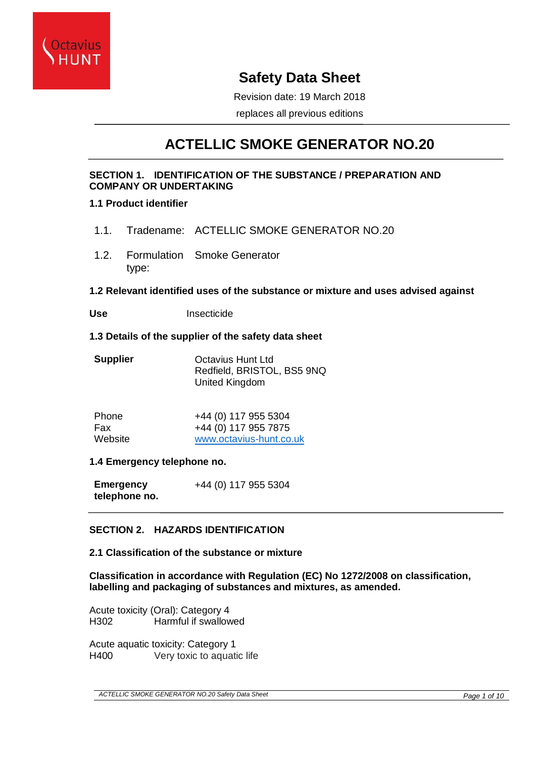

# **Safety Data Sheet**

Revision date: 19 March 2018

replaces all previous editions

# **ACTELLIC SMOKE GENERATOR NO.20**

## **SECTION 1. IDENTIFICATION OF THE SUBSTANCE / PREPARATION AND COMPANY OR UNDERTAKING**

## **1.1 Product identifier**

- 1.1. Tradename: ACTELLIC SMOKE GENERATOR NO.20
- 1.2. Formulation Smoke Generator type:

## **1.2 Relevant identified uses of the substance or mixture and uses advised against**

**Use** Insecticide

#### **1.3 Details of the supplier of the safety data sheet**

| <b>Supplier</b> | Octavius Hunt Ltd          |
|-----------------|----------------------------|
|                 | Redfield, BRISTOL, BS5 9NQ |
|                 | United Kingdom             |

| Phone   | +44 (0) 117 955 5304    |
|---------|-------------------------|
| Fax     | +44 (0) 117 955 7875    |
| Website | www.octavius-hunt.co.uk |

## **1.4 Emergency telephone no.**

**Emergency telephone no.** +44 (0) 117 955 5304

# **SECTION 2. HAZARDS IDENTIFICATION**

## **2.1 Classification of the substance or mixture**

**Classification in accordance with Regulation (EC) No 1272/2008 on classification, labelling and packaging of substances and mixtures, as amended.**

Acute toxicity (Oral): Category 4 H302 Harmful if swallowed

Acute aquatic toxicity: Category 1 H400 Very toxic to aquatic life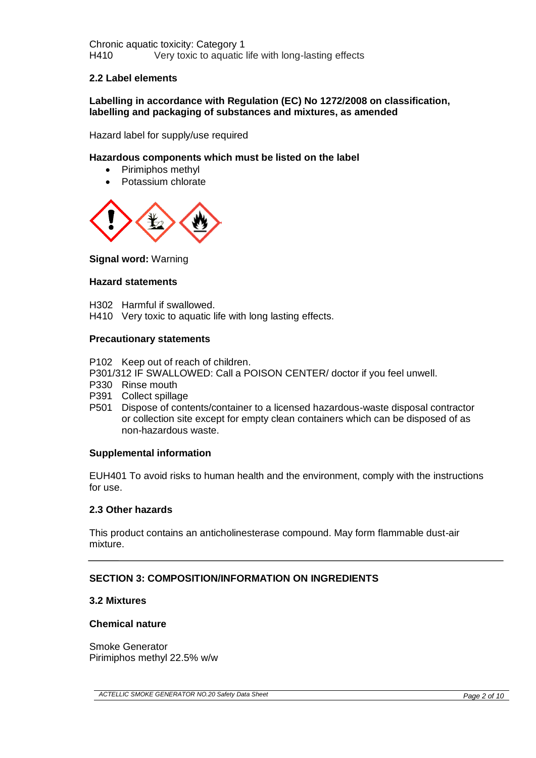Chronic aquatic toxicity: Category 1 H410 Very toxic to aquatic life with long-lasting effects

#### **2.2 Label elements**

**Labelling in accordance with Regulation (EC) No 1272/2008 on classification, labelling and packaging of substances and mixtures, as amended**

Hazard label for supply/use required

#### **Hazardous components which must be listed on the label**

- Pirimiphos methyl
- Potassium chlorate



**Signal word:** Warning

#### **Hazard statements**

- H302 Harmful if swallowed.
- H410 Very toxic to aquatic life with long lasting effects.

#### **Precautionary statements**

P102 Keep out of reach of children.

- P301/312 IF SWALLOWED: Call a POISON CENTER/ doctor if you feel unwell.
- P330 Rinse mouth
- P391 Collect spillage
- P501 Dispose of contents/container to a licensed hazardous-waste disposal contractor or collection site except for empty clean containers which can be disposed of as non-hazardous waste.

#### **Supplemental information**

EUH401 To avoid risks to human health and the environment, comply with the instructions for use.

#### **2.3 Other hazards**

This product contains an anticholinesterase compound. May form flammable dust-air mixture.

#### **SECTION 3: COMPOSITION/INFORMATION ON INGREDIENTS**

#### **3.2 Mixtures**

#### **Chemical nature**

Smoke Generator Pirimiphos methyl 22.5% w/w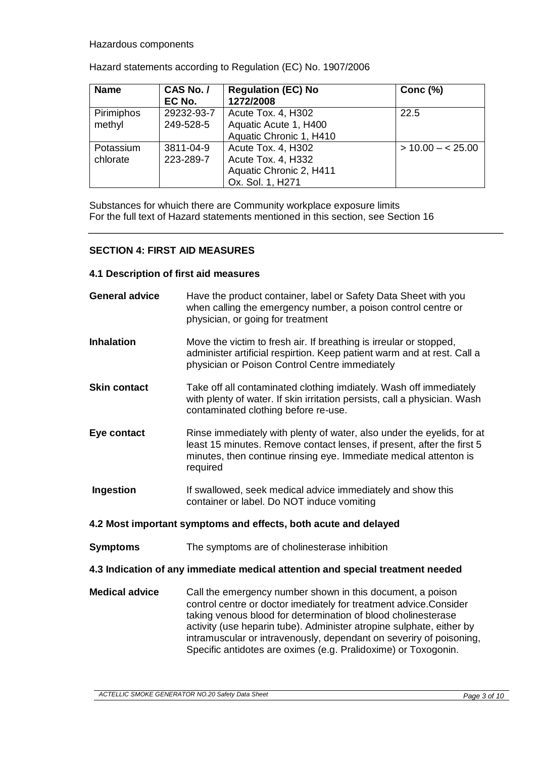#### Hazardous components

| <b>Name</b> | CAS No. /  | <b>Regulation (EC) No</b> | Conc $(%)$            |
|-------------|------------|---------------------------|-----------------------|
|             | EC No.     | 1272/2008                 |                       |
| Pirimiphos  | 29232-93-7 | Acute Tox. 4, H302        | 22.5                  |
| methyl      | 249-528-5  | Aquatic Acute 1, H400     |                       |
|             |            | Aquatic Chronic 1, H410   |                       |
| Potassium   | 3811-04-9  | Acute Tox. 4, H302        | $>$ 10.00 $-$ < 25.00 |
| chlorate    | 223-289-7  | Acute Tox. 4, H332        |                       |
|             |            | Aquatic Chronic 2, H411   |                       |
|             |            | Ox. Sol. 1, H271          |                       |

Hazard statements according to Regulation (EC) No. 1907/2006

Substances for whuich there are Community workplace exposure limits For the full text of Hazard statements mentioned in this section, see Section 16

#### **SECTION 4: FIRST AID MEASURES**

#### **4.1 Description of first aid measures**

| <b>General advice</b> | Have the product container, label or Safety Data Sheet with you<br>when calling the emergency number, a poison control centre or<br>physician, or going for treatment                                                                                                                                                                                                                                              |
|-----------------------|--------------------------------------------------------------------------------------------------------------------------------------------------------------------------------------------------------------------------------------------------------------------------------------------------------------------------------------------------------------------------------------------------------------------|
| <b>Inhalation</b>     | Move the victim to fresh air. If breathing is irreular or stopped,<br>administer artificial respirtion. Keep patient warm and at rest. Call a<br>physician or Poison Control Centre immediately                                                                                                                                                                                                                    |
| <b>Skin contact</b>   | Take off all contaminated clothing imdiately. Wash off immediately<br>with plenty of water. If skin irritation persists, call a physician. Wash<br>contaminated clothing before re-use.                                                                                                                                                                                                                            |
| Eye contact           | Rinse immediately with plenty of water, also under the eyelids, for at<br>least 15 minutes. Remove contact lenses, if present, after the first 5<br>minutes, then continue rinsing eye. Immediate medical attenton is<br>required                                                                                                                                                                                  |
| <b>Ingestion</b>      | If swallowed, seek medical advice immediately and show this<br>container or label. Do NOT induce vomiting                                                                                                                                                                                                                                                                                                          |
|                       | 4.2 Most important symptoms and effects, both acute and delayed                                                                                                                                                                                                                                                                                                                                                    |
| <b>Symptoms</b>       | The symptoms are of cholinesterase inhibition                                                                                                                                                                                                                                                                                                                                                                      |
|                       | 4.3 Indication of any immediate medical attention and special treatment needed                                                                                                                                                                                                                                                                                                                                     |
| <b>Medical advice</b> | Call the emergency number shown in this document, a poison<br>control centre or doctor imediately for treatment advice. Consider<br>taking venous blood for determination of blood cholinesterase<br>activity (use heparin tube). Administer atropine sulphate, either by<br>intramuscular or intravenously, dependant on severiry of poisoning,<br>Specific antidotes are oximes (e.g. Pralidoxime) or Toxogonin. |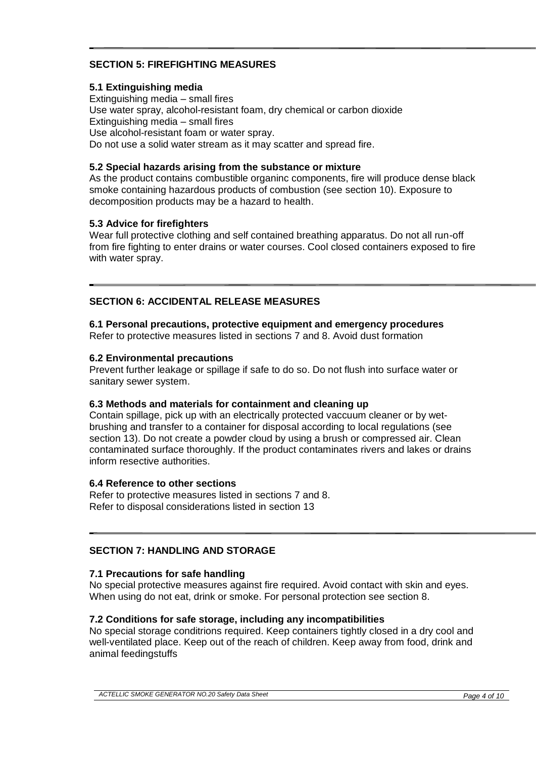# **SECTION 5: FIREFIGHTING MEASURES**

## **5.1 Extinguishing media**

Extinguishing media – small fires Use water spray, alcohol-resistant foam, dry chemical or carbon dioxide Extinguishing media – small fires Use alcohol-resistant foam or water spray. Do not use a solid water stream as it may scatter and spread fire.

## **5.2 Special hazards arising from the substance or mixture**

As the product contains combustible organinc components, fire will produce dense black smoke containing hazardous products of combustion (see section 10). Exposure to decomposition products may be a hazard to health.

## **5.3 Advice for firefighters**

Wear full protective clothing and self contained breathing apparatus. Do not all run-off from fire fighting to enter drains or water courses. Cool closed containers exposed to fire with water spray.

## **SECTION 6: ACCIDENTAL RELEASE MEASURES**

## **6.1 Personal precautions, protective equipment and emergency procedures**

Refer to protective measures listed in sections 7 and 8. Avoid dust formation

#### **6.2 Environmental precautions**

Prevent further leakage or spillage if safe to do so. Do not flush into surface water or sanitary sewer system.

#### **6.3 Methods and materials for containment and cleaning up**

Contain spillage, pick up with an electrically protected vaccuum cleaner or by wetbrushing and transfer to a container for disposal according to local regulations (see section 13). Do not create a powder cloud by using a brush or compressed air. Clean contaminated surface thoroughly. If the product contaminates rivers and lakes or drains inform resective authorities.

## **6.4 Reference to other sections**

Refer to protective measures listed in sections 7 and 8. Refer to disposal considerations listed in section 13

## **SECTION 7: HANDLING AND STORAGE**

## **7.1 Precautions for safe handling**

No special protective measures against fire required. Avoid contact with skin and eyes. When using do not eat, drink or smoke. For personal protection see section 8.

## **7.2 Conditions for safe storage, including any incompatibilities**

No special storage conditrions required. Keep containers tightly closed in a dry cool and well-ventilated place. Keep out of the reach of children. Keep away from food, drink and animal feedingstuffs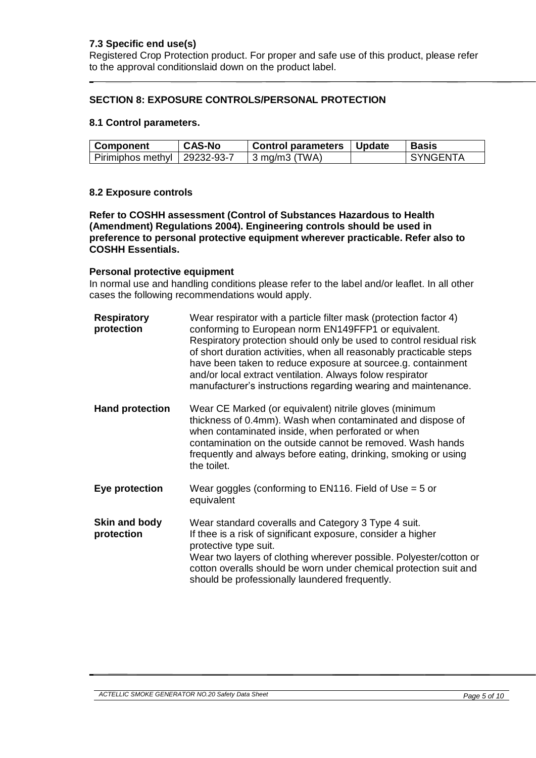## **7.3 Specific end use(s)**

Registered Crop Protection product. For proper and safe use of this product, please refer to the approval conditionslaid down on the product label.

## **SECTION 8: EXPOSURE CONTROLS/PERSONAL PROTECTION**

#### **8.1 Control parameters.**

| <b>Component</b>               | <b>CAS-No</b> | Control parameters   Update | <b>Basis</b> |
|--------------------------------|---------------|-----------------------------|--------------|
| Pirimiphos methyl   29232-93-7 |               | $-3$ mg/m3 (TWA)            | I SYNGFNTA   |

#### **8.2 Exposure controls**

**Refer to COSHH assessment (Control of Substances Hazardous to Health (Amendment) Regulations 2004). Engineering controls should be used in preference to personal protective equipment wherever practicable. Refer also to COSHH Essentials.** 

#### **Personal protective equipment**

In normal use and handling conditions please refer to the label and/or leaflet. In all other cases the following recommendations would apply.

| <b>Respiratory</b><br>protection | Wear respirator with a particle filter mask (protection factor 4)<br>conforming to European norm EN149FFP1 or equivalent.<br>Respiratory protection should only be used to control residual risk<br>of short duration activities, when all reasonably practicable steps<br>have been taken to reduce exposure at sourcee.g. containment<br>and/or local extract ventilation. Always folow respirator<br>manufacturer's instructions regarding wearing and maintenance. |
|----------------------------------|------------------------------------------------------------------------------------------------------------------------------------------------------------------------------------------------------------------------------------------------------------------------------------------------------------------------------------------------------------------------------------------------------------------------------------------------------------------------|
| <b>Hand protection</b>           | Wear CE Marked (or equivalent) nitrile gloves (minimum<br>thickness of 0.4mm). Wash when contaminated and dispose of<br>when contaminated inside, when perforated or when<br>contamination on the outside cannot be removed. Wash hands<br>frequently and always before eating, drinking, smoking or using<br>the toilet.                                                                                                                                              |
| Eye protection                   | Wear goggles (conforming to EN116. Field of Use $=$ 5 or<br>equivalent                                                                                                                                                                                                                                                                                                                                                                                                 |
| Skin and body<br>protection      | Wear standard coveralls and Category 3 Type 4 suit.<br>If thee is a risk of significant exposure, consider a higher<br>protective type suit.<br>Wear two layers of clothing wherever possible. Polyester/cotton or<br>cotton overalls should be worn under chemical protection suit and<br>should be professionally laundered frequently.                                                                                                                              |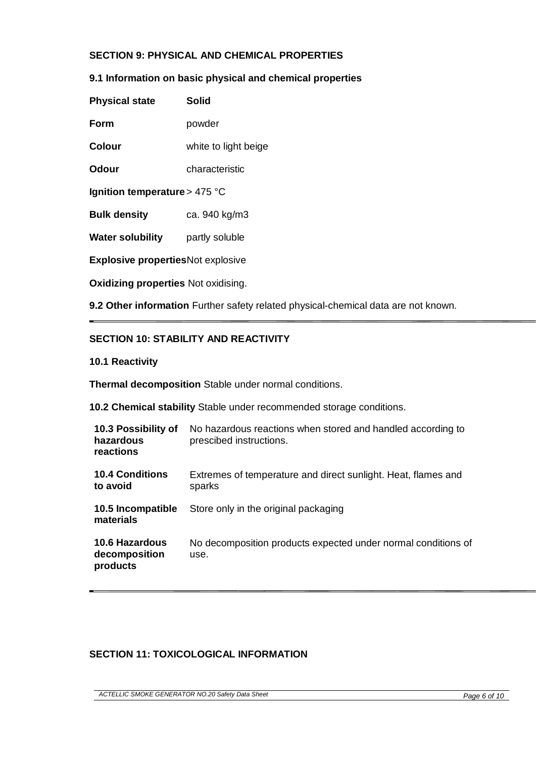# **SECTION 9: PHYSICAL AND CHEMICAL PROPERTIES**

## **9.1 Information on basic physical and chemical properties**

| <b>Physical state</b>         | Solid                |
|-------------------------------|----------------------|
| Form                          | powder               |
| <b>Colour</b>                 | white to light beige |
| <b>Odour</b>                  | characteristic       |
| Ignition temperature > 475 °C |                      |
| <b>Bulk density</b>           | ca. 940 kg/m3        |
|                               |                      |

**Water solubility** partly soluble

**Explosive properties**Not explosive

**Oxidizing properties** Not oxidising.

**9.2 Other information** Further safety related physical-chemical data are not known.

## **SECTION 10: STABILITY AND REACTIVITY**

#### **10.1 Reactivity**

**Thermal decomposition** Stable under normal conditions.

**10.2 Chemical stability** Stable under recommended storage conditions.

| 10.3 Possibility of<br>hazardous<br>reactions      | No hazardous reactions when stored and handled according to<br>prescibed instructions. |
|----------------------------------------------------|----------------------------------------------------------------------------------------|
| <b>10.4 Conditions</b><br>to avoid                 | Extremes of temperature and direct sunlight. Heat, flames and<br>sparks                |
| 10.5 Incompatible<br>materials                     | Store only in the original packaging                                                   |
| <b>10.6 Hazardous</b><br>decomposition<br>products | No decomposition products expected under normal conditions of<br>use.                  |

## **SECTION 11: TOXICOLOGICAL INFORMATION**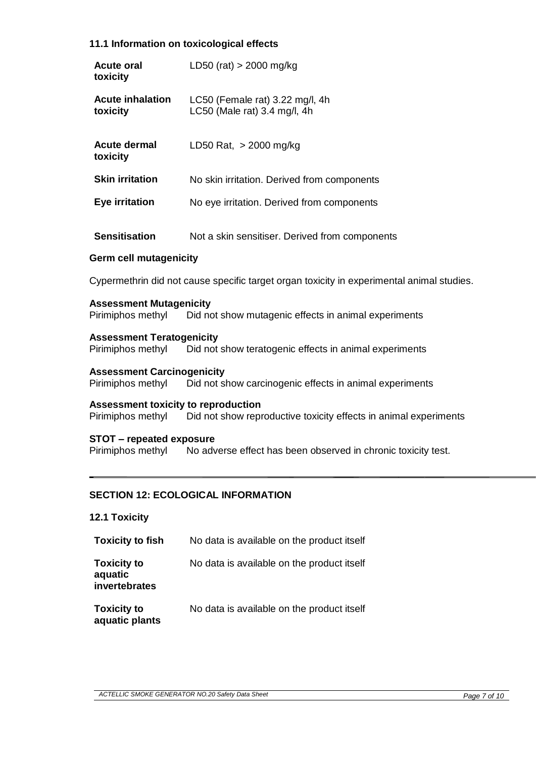# **11.1 Information on toxicological effects**

| <b>Acute oral</b><br>toxicity                          | LD50 (rat) $>$ 2000 mg/kg                                                                 |
|--------------------------------------------------------|-------------------------------------------------------------------------------------------|
| <b>Acute inhalation</b><br>toxicity                    | LC50 (Female rat) 3.22 mg/l, 4h<br>LC50 (Male rat) 3.4 mg/l, 4h                           |
| <b>Acute dermal</b><br>toxicity                        | LD50 Rat, $>$ 2000 mg/kg                                                                  |
| <b>Skin irritation</b>                                 | No skin irritation. Derived from components                                               |
| <b>Eye irritation</b>                                  | No eye irritation. Derived from components                                                |
| <b>Sensitisation</b><br><b>Germ cell mutagenicity</b>  | Not a skin sensitiser. Derived from components                                            |
|                                                        | Cypermethrin did not cause specific target organ toxicity in experimental animal studies. |
| <b>Assessment Mutagenicity</b><br>Pirimiphos methyl    | Did not show mutagenic effects in animal experiments                                      |
| <b>Assessment Teratogenicity</b><br>Pirimiphos methyl  | Did not show teratogenic effects in animal experiments                                    |
| <b>Assessment Carcinogenicity</b><br>Pirimiphos methyl | Did not show carcinogenic effects in animal experiments                                   |

**Assessment toxicity to reproduction** 

Pirimiphos methyl Did not show reproductive toxicity effects in animal experiments

**STOT – repeated exposure** Pirimiphos methyl No adverse effect has been observed in chronic toxicity test.

# **SECTION 12: ECOLOGICAL INFORMATION**

## **12.1 Toxicity**

| <b>Toxicity to fish</b>                        | No data is available on the product itself |
|------------------------------------------------|--------------------------------------------|
| <b>Toxicity to</b><br>aquatic<br>invertebrates | No data is available on the product itself |
| <b>Toxicity to</b><br>aquatic plants           | No data is available on the product itself |

*ACTELLIC SMOKE GENERATOR NO.20 Safety Data Sheet Page 7 of 10*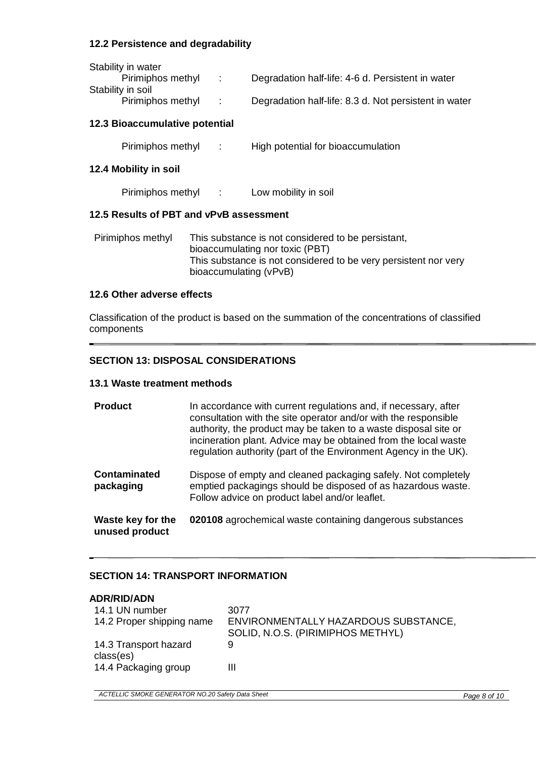## **12.2 Persistence and degradability**

| Stability in water |      |                                                       |
|--------------------|------|-------------------------------------------------------|
| Pirimiphos methyl  | i Do | Degradation half-life: 4-6 d. Persistent in water     |
| Stability in soil  |      |                                                       |
| Pirimiphos methyl  |      | Degradation half-life: 8.3 d. Not persistent in water |

## **12.3 Bioaccumulative potential**

Pirimiphos methyl : High potential for bioaccumulation

#### **12.4 Mobility in soil**

Pirimiphos methyl : Low mobility in soil

## **12.5 Results of PBT and vPvB assessment**

| Pirimiphos methyl | This substance is not considered to be persistant,              |
|-------------------|-----------------------------------------------------------------|
|                   | bioaccumulating nor toxic (PBT)                                 |
|                   | This substance is not considered to be very persistent nor very |
|                   | bioaccumulating (vPvB)                                          |

#### **12.6 Other adverse effects**

Classification of the product is based on the summation of the concentrations of classified components

# **SECTION 13: DISPOSAL CONSIDERATIONS**

#### **13.1 Waste treatment methods**

| <b>Product</b>                      | In accordance with current regulations and, if necessary, after<br>consultation with the site operator and/or with the responsible<br>authority, the product may be taken to a waste disposal site or<br>incineration plant. Advice may be obtained from the local waste<br>regulation authority (part of the Environment Agency in the UK). |
|-------------------------------------|----------------------------------------------------------------------------------------------------------------------------------------------------------------------------------------------------------------------------------------------------------------------------------------------------------------------------------------------|
| <b>Contaminated</b><br>packaging    | Dispose of empty and cleaned packaging safely. Not completely<br>emptied packagings should be disposed of as hazardous waste.<br>Follow advice on product label and/or leaflet.                                                                                                                                                              |
| Waste key for the<br>unused product | 020108 agrochemical waste containing dangerous substances                                                                                                                                                                                                                                                                                    |

## **SECTION 14: TRANSPORT INFORMATION**

| <b>ADR/RID/ADN</b><br>14.1 UN number | 3077                                                                      |
|--------------------------------------|---------------------------------------------------------------------------|
| 14.2 Proper shipping name            | ENVIRONMENTALLY HAZARDOUS SUBSTANCE,<br>SOLID, N.O.S. (PIRIMIPHOS METHYL) |
| 14.3 Transport hazard<br>class(es)   | 9                                                                         |
| 14.4 Packaging group                 | Ш                                                                         |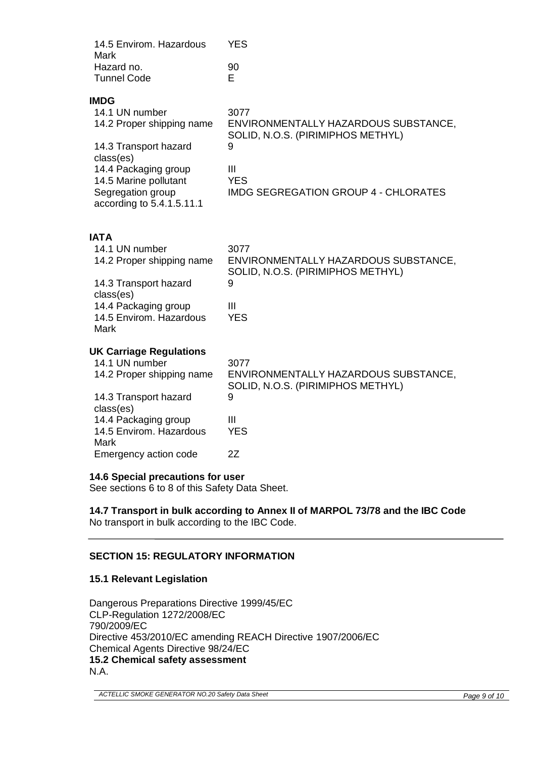| 14.5 Envirom. Hazardous<br>Mark<br>Hazard no.<br><b>Tunnel Code</b>                                                                                                                                            | <b>YES</b><br>90<br>Е                                                                                                                                                 |
|----------------------------------------------------------------------------------------------------------------------------------------------------------------------------------------------------------------|-----------------------------------------------------------------------------------------------------------------------------------------------------------------------|
| <b>IMDG</b><br>14.1 UN number<br>14.2 Proper shipping name<br>14.3 Transport hazard<br>class(es)<br>14.4 Packaging group<br>14.5 Marine pollutant<br>Segregation group<br>according to 5.4.1.5.11.1            | 3077<br>ENVIRONMENTALLY HAZARDOUS SUBSTANCE,<br>SOLID, N.O.S. (PIRIMIPHOS METHYL)<br>9<br>$\mathbf{III}$<br><b>YES</b><br><b>IMDG SEGREGATION GROUP 4 - CHLORATES</b> |
| <b>IATA</b><br>14.1 UN number<br>14.2 Proper shipping name<br>14.3 Transport hazard<br>class(es)<br>14.4 Packaging group<br>14.5 Envirom. Hazardous<br><b>Mark</b>                                             | 3077<br>ENVIRONMENTALLY HAZARDOUS SUBSTANCE,<br>SOLID, N.O.S. (PIRIMIPHOS METHYL)<br>9<br>$\mathbf{III}$<br><b>YES</b>                                                |
| <b>UK Carriage Regulations</b><br>14.1 UN number<br>14.2 Proper shipping name<br>14.3 Transport hazard<br>class(es)<br>14.4 Packaging group<br>14.5 Envirom. Hazardous<br><b>Mark</b><br>Emergency action code | 3077<br>ENVIRONMENTALLY HAZARDOUS SUBSTANCE,<br>SOLID, N.O.S. (PIRIMIPHOS METHYL)<br>9<br>$\mathbf{III}$<br><b>YES</b><br>2Z                                          |

# **14.6 Special precautions for user**

See sections 6 to 8 of this Safety Data Sheet.

# **14.7 Transport in bulk according to Annex II of MARPOL 73/78 and the IBC Code**

No transport in bulk according to the IBC Code.

# **SECTION 15: REGULATORY INFORMATION**

## **15.1 Relevant Legislation**

Dangerous Preparations Directive 1999/45/EC CLP-Regulation 1272/2008/EC 790/2009/EC Directive 453/2010/EC amending REACH Directive 1907/2006/EC Chemical Agents Directive 98/24/EC **15.2 Chemical safety assessment**  N.A.